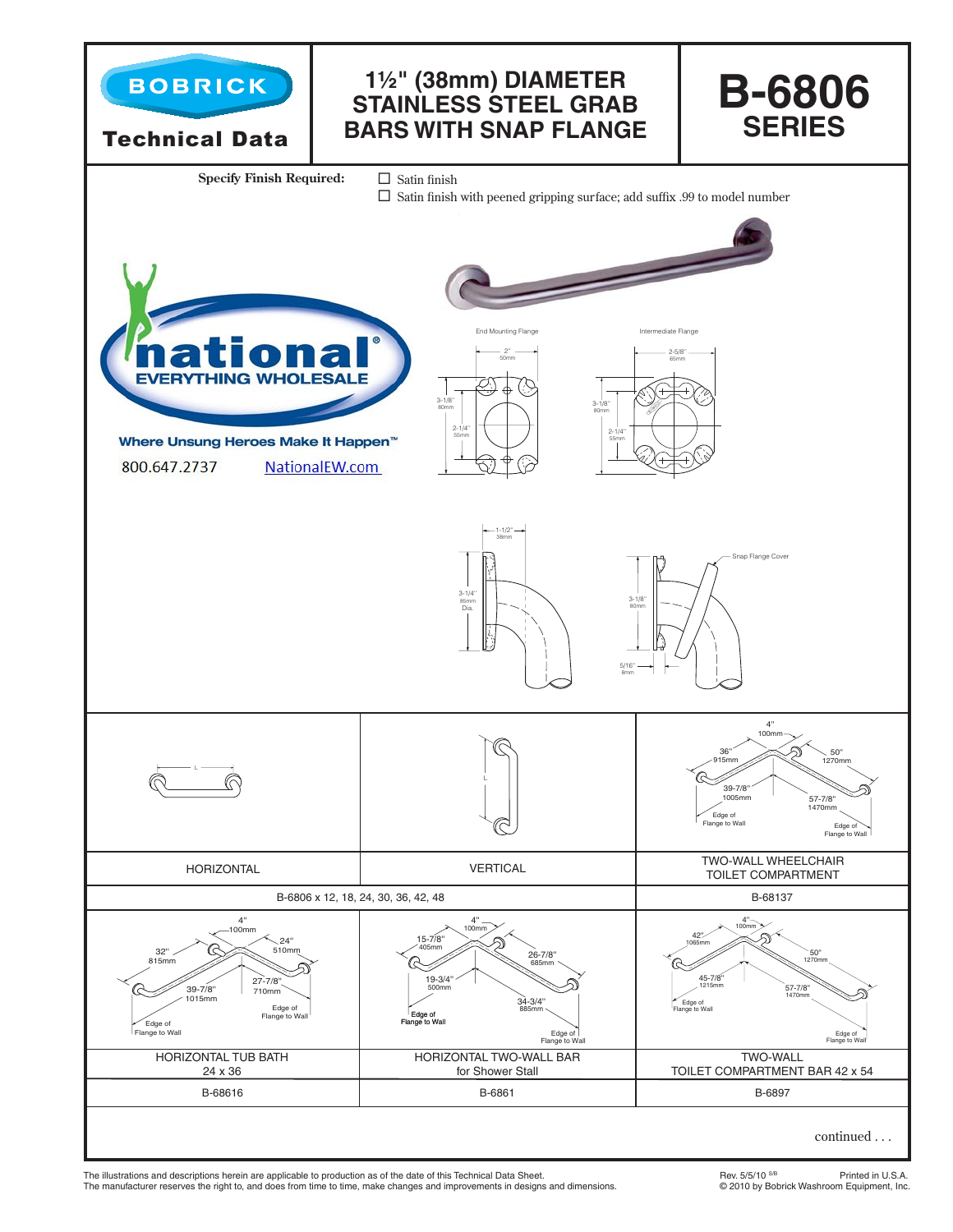

The illustrations and descriptions herein are applicable to production as of the date of this Technical Data Sheet.<br>The manufacturer reserves the right to, and does from time to time, make changes and improvements in desig The manufacturer reserves the right to, and does from time to time, make changes and improvements in designs and dimensions.